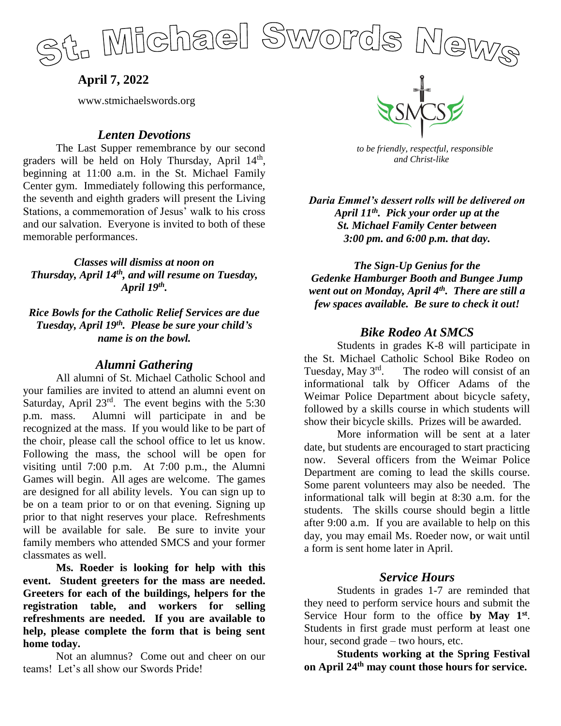

# **April 7, 2022**

www.stmichaelswords.org

#### *Lenten Devotions*

The Last Supper remembrance by our second graders will be held on Holy Thursday, April 14<sup>th</sup>, beginning at 11:00 a.m. in the St. Michael Family Center gym. Immediately following this performance, the seventh and eighth graders will present the Living Stations, a commemoration of Jesus' walk to his cross and our salvation. Everyone is invited to both of these memorable performances.

*Classes will dismiss at noon on Thursday, April 14th, and will resume on Tuesday, April 19th .*

*Rice Bowls for the Catholic Relief Services are due Tuesday, April 19th. Please be sure your child's name is on the bowl.*

#### *Alumni Gathering*

All alumni of St. Michael Catholic School and your families are invited to attend an alumni event on Saturday, April  $23<sup>rd</sup>$ . The event begins with the 5:30 p.m. mass. Alumni will participate in and be recognized at the mass. If you would like to be part of the choir, please call the school office to let us know. Following the mass, the school will be open for visiting until 7:00 p.m. At 7:00 p.m., the Alumni Games will begin. All ages are welcome. The games are designed for all ability levels. You can sign up to be on a team prior to or on that evening. Signing up prior to that night reserves your place. Refreshments will be available for sale. Be sure to invite your family members who attended SMCS and your former classmates as well.

**Ms. Roeder is looking for help with this event. Student greeters for the mass are needed. Greeters for each of the buildings, helpers for the registration table, and workers for selling refreshments are needed. If you are available to help, please complete the form that is being sent home today.**

Not an alumnus? Come out and cheer on our teams! Let's all show our Swords Pride!



 *to be friendly, respectful, responsible and Christ-like*

*Daria Emmel's dessert rolls will be delivered on April 11th. Pick your order up at the St. Michael Family Center between 3:00 pm. and 6:00 p.m. that day.*

*The Sign-Up Genius for the Gedenke Hamburger Booth and Bungee Jump went out on Monday, April 4th . There are still a few spaces available. Be sure to check it out!*

#### *Bike Rodeo At SMCS*

Students in grades K-8 will participate in the St. Michael Catholic School Bike Rodeo on Tuesday, May 3rd. . The rodeo will consist of an informational talk by Officer Adams of the Weimar Police Department about bicycle safety, followed by a skills course in which students will show their bicycle skills. Prizes will be awarded.

More information will be sent at a later date, but students are encouraged to start practicing now. Several officers from the Weimar Police Department are coming to lead the skills course. Some parent volunteers may also be needed. The informational talk will begin at 8:30 a.m. for the students. The skills course should begin a little after 9:00 a.m. If you are available to help on this day, you may email Ms. Roeder now, or wait until a form is sent home later in April.

#### *Service Hours*

Students in grades 1-7 are reminded that they need to perform service hours and submit the Service Hour form to the office by May 1<sup>st</sup>. Students in first grade must perform at least one hour, second grade – two hours, etc.

**Students working at the Spring Festival on April 24th may count those hours for service.**